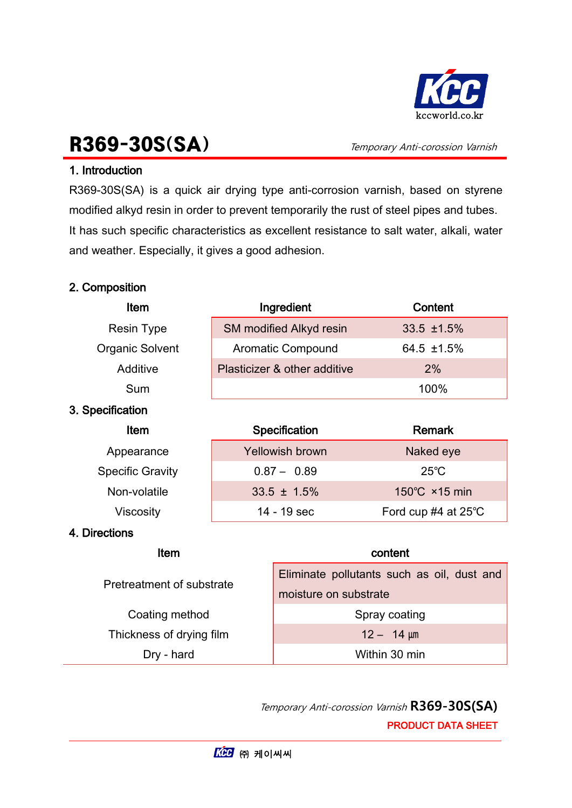

# R369-30S(SA) Temporary Anti-corossion Varnish

## 1. Introduction

R369-30S(SA) is a quick air drying type anti-corrosion varnish, based on styrene modified alkyd resin in order to prevent temporarily the rust of steel pipes and tubes. It has such specific characteristics as excellent resistance to salt water, alkali, water and weather. Especially, it gives a good adhesion.

### 2. Composition

| <b>Item</b>             | Ingredient                                   | Content                  |  |  |
|-------------------------|----------------------------------------------|--------------------------|--|--|
| <b>Resin Type</b>       | SM modified Alkyd resin                      | $33.5$ $\pm 1.5\%$       |  |  |
| <b>Organic Solvent</b>  | Aromatic Compound                            | 64.5 ±1.5%               |  |  |
| Additive                | Plasticizer & other additive                 | 2%                       |  |  |
| Sum                     |                                              | 100%                     |  |  |
| 3. Specification        |                                              |                          |  |  |
| Item                    | Specification                                | <b>Remark</b>            |  |  |
| Appearance              | <b>Yellowish brown</b>                       | Naked eye                |  |  |
| <b>Specific Gravity</b> | $0.87 - 0.89$                                | $25^{\circ}$ C           |  |  |
| Non-volatile            | $33.5 \pm 1.5\%$                             | 150°C ×15 min            |  |  |
| <b>Viscosity</b>        | 14 - 19 sec                                  | Ford cup $#4$ at 25 $°C$ |  |  |
| 4. Directions           |                                              |                          |  |  |
| Item                    |                                              | content                  |  |  |
|                         | E B.<br>والمسام المروم وامسور ولمروان المورد |                          |  |  |

| Pretreatment of substrate | Eliminate pollutants such as oil, dust and<br>moisture on substrate |  |
|---------------------------|---------------------------------------------------------------------|--|
| Coating method            | Spray coating                                                       |  |
| Thickness of drying film  | $12 - 14 \mu m$                                                     |  |
| Dry - hard                | Within 30 min                                                       |  |

Temporary Anti-corossion Varnish R369-30S(SA) PRODUCT DATA SHEET

L,